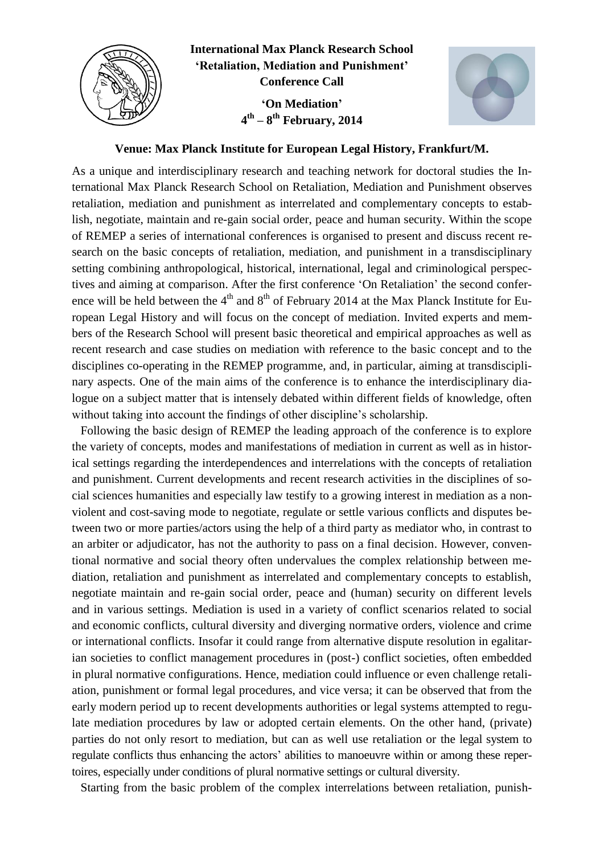

**International Max Planck Research School 'Retaliation, Mediation and Punishment' Conference Call 'On Mediation' 4 th – 8 th February, 2014**



## **Venue: Max Planck Institute for European Legal History, Frankfurt/M.**

As a unique and interdisciplinary research and teaching network for doctoral studies the International Max Planck Research School on Retaliation, Mediation and Punishment observes retaliation, mediation and punishment as interrelated and complementary concepts to establish, negotiate, maintain and re-gain social order, peace and human security. Within the scope of REMEP a series of international conferences is organised to present and discuss recent research on the basic concepts of retaliation, mediation, and punishment in a transdisciplinary setting combining anthropological, historical, international, legal and criminological perspectives and aiming at comparison. After the first conference 'On Retaliation' the second conference will be held between the  $4<sup>th</sup>$  and  $8<sup>th</sup>$  of February 2014 at the Max Planck Institute for European Legal History and will focus on the concept of mediation. Invited experts and members of the Research School will present basic theoretical and empirical approaches as well as recent research and case studies on mediation with reference to the basic concept and to the disciplines co-operating in the REMEP programme, and, in particular, aiming at transdisciplinary aspects. One of the main aims of the conference is to enhance the interdisciplinary dialogue on a subject matter that is intensely debated within different fields of knowledge, often without taking into account the findings of other discipline's scholarship.

Following the basic design of REMEP the leading approach of the conference is to explore the variety of concepts, modes and manifestations of mediation in current as well as in historical settings regarding the interdependences and interrelations with the concepts of retaliation and punishment. Current developments and recent research activities in the disciplines of social sciences humanities and especially law testify to a growing interest in mediation as a nonviolent and cost-saving mode to negotiate, regulate or settle various conflicts and disputes between two or more parties/actors using the help of a third party as mediator who, in contrast to an arbiter or adjudicator, has not the authority to pass on a final decision. However, conventional normative and social theory often undervalues the complex relationship between mediation, retaliation and punishment as interrelated and complementary concepts to establish, negotiate maintain and re-gain social order, peace and (human) security on different levels and in various settings. Mediation is used in a variety of conflict scenarios related to social and economic conflicts, cultural diversity and diverging normative orders, violence and crime or international conflicts. Insofar it could range from alternative dispute resolution in egalitarian societies to conflict management procedures in (post-) conflict societies, often embedded in plural normative configurations. Hence, mediation could influence or even challenge retaliation, punishment or formal legal procedures, and vice versa; it can be observed that from the early modern period up to recent developments authorities or legal systems attempted to regulate mediation procedures by law or adopted certain elements. On the other hand, (private) parties do not only resort to mediation, but can as well use retaliation or the legal system to regulate conflicts thus enhancing the actors' abilities to manoeuvre within or among these repertoires, especially under conditions of plural normative settings or cultural diversity.

Starting from the basic problem of the complex interrelations between retaliation, punish-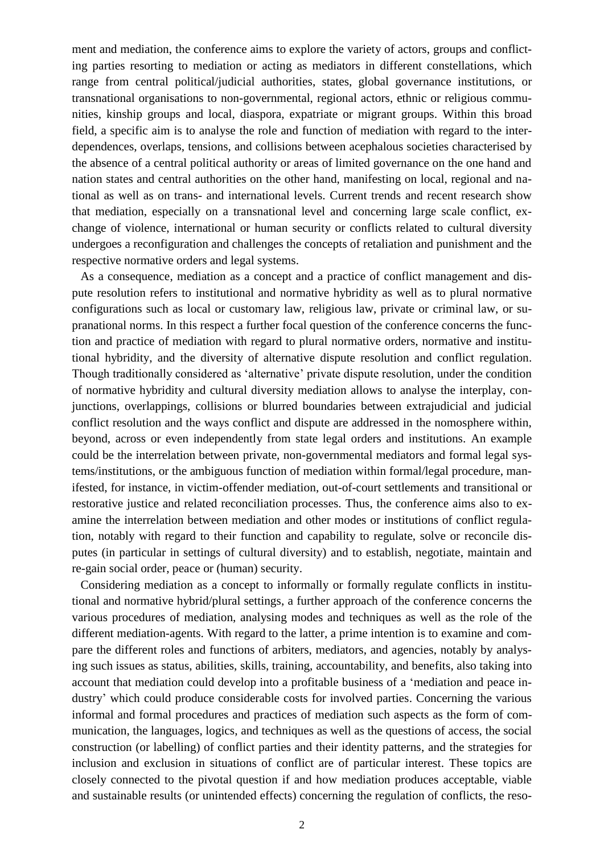ment and mediation, the conference aims to explore the variety of actors, groups and conflicting parties resorting to mediation or acting as mediators in different constellations, which range from central political/judicial authorities, states, global governance institutions, or transnational organisations to non-governmental, regional actors, ethnic or religious communities, kinship groups and local, diaspora, expatriate or migrant groups. Within this broad field, a specific aim is to analyse the role and function of mediation with regard to the interdependences, overlaps, tensions, and collisions between acephalous societies characterised by the absence of a central political authority or areas of limited governance on the one hand and nation states and central authorities on the other hand, manifesting on local, regional and national as well as on trans- and international levels. Current trends and recent research show that mediation, especially on a transnational level and concerning large scale conflict, exchange of violence, international or human security or conflicts related to cultural diversity undergoes a reconfiguration and challenges the concepts of retaliation and punishment and the respective normative orders and legal systems.

As a consequence, mediation as a concept and a practice of conflict management and dispute resolution refers to institutional and normative hybridity as well as to plural normative configurations such as local or customary law, religious law, private or criminal law, or supranational norms. In this respect a further focal question of the conference concerns the function and practice of mediation with regard to plural normative orders, normative and institutional hybridity, and the diversity of alternative dispute resolution and conflict regulation. Though traditionally considered as 'alternative' private dispute resolution, under the condition of normative hybridity and cultural diversity mediation allows to analyse the interplay, conjunctions, overlappings, collisions or blurred boundaries between extrajudicial and judicial conflict resolution and the ways conflict and dispute are addressed in the nomosphere within, beyond, across or even independently from state legal orders and institutions. An example could be the interrelation between private, non-governmental mediators and formal legal systems/institutions, or the ambiguous function of mediation within formal/legal procedure, manifested, for instance, in victim-offender mediation, out-of-court settlements and transitional or restorative justice and related reconciliation processes. Thus, the conference aims also to examine the interrelation between mediation and other modes or institutions of conflict regulation, notably with regard to their function and capability to regulate, solve or reconcile disputes (in particular in settings of cultural diversity) and to establish, negotiate, maintain and re-gain social order, peace or (human) security.

Considering mediation as a concept to informally or formally regulate conflicts in institutional and normative hybrid/plural settings, a further approach of the conference concerns the various procedures of mediation, analysing modes and techniques as well as the role of the different mediation-agents. With regard to the latter, a prime intention is to examine and compare the different roles and functions of arbiters, mediators, and agencies, notably by analysing such issues as status, abilities, skills, training, accountability, and benefits, also taking into account that mediation could develop into a profitable business of a 'mediation and peace industry' which could produce considerable costs for involved parties. Concerning the various informal and formal procedures and practices of mediation such aspects as the form of communication, the languages, logics, and techniques as well as the questions of access, the social construction (or labelling) of conflict parties and their identity patterns, and the strategies for inclusion and exclusion in situations of conflict are of particular interest. These topics are closely connected to the pivotal question if and how mediation produces acceptable, viable and sustainable results (or unintended effects) concerning the regulation of conflicts, the reso